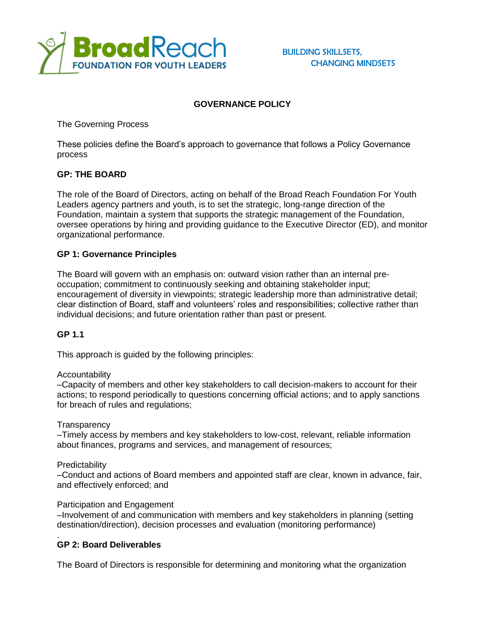

# **GOVERNANCE POLICY**

The Governing Process

These policies define the Board's approach to governance that follows a Policy Governance process

# **GP: THE BOARD**

The role of the Board of Directors, acting on behalf of the Broad Reach Foundation For Youth Leaders agency partners and youth, is to set the strategic, long-range direction of the Foundation, maintain a system that supports the strategic management of the Foundation, oversee operations by hiring and providing guidance to the Executive Director (ED), and monitor organizational performance.

## **GP 1: Governance Principles**

The Board will govern with an emphasis on: outward vision rather than an internal preoccupation; commitment to continuously seeking and obtaining stakeholder input; encouragement of diversity in viewpoints; strategic leadership more than administrative detail; clear distinction of Board, staff and volunteers' roles and responsibilities; collective rather than individual decisions; and future orientation rather than past or present.

#### **GP 1.1**

This approach is guided by the following principles:

#### Accountability

–Capacity of members and other key stakeholders to call decision-makers to account for their actions; to respond periodically to questions concerning official actions; and to apply sanctions for breach of rules and regulations;

#### **Transparency**

–Timely access by members and key stakeholders to low-cost, relevant, reliable information about finances, programs and services, and management of resources;

#### **Predictability**

–Conduct and actions of Board members and appointed staff are clear, known in advance, fair, and effectively enforced; and

#### Participation and Engagement

–Involvement of and communication with members and key stakeholders in planning (setting destination/direction), decision processes and evaluation (monitoring performance)

#### . **GP 2: Board Deliverables**

The Board of Directors is responsible for determining and monitoring what the organization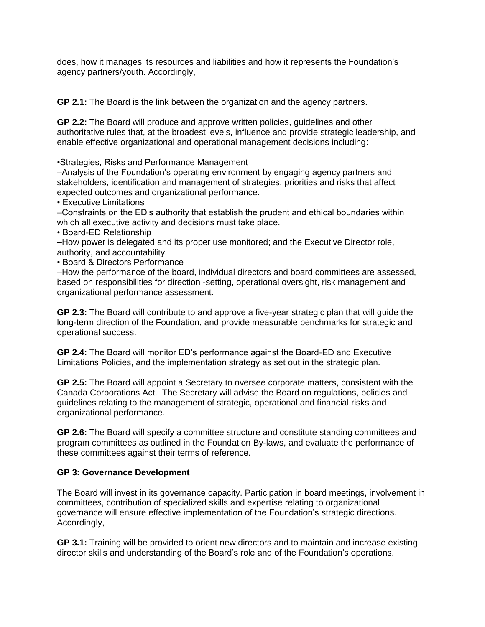does, how it manages its resources and liabilities and how it represents the Foundation's agency partners/youth. Accordingly,

**GP 2.1:** The Board is the link between the organization and the agency partners.

**GP 2.2:** The Board will produce and approve written policies, guidelines and other authoritative rules that, at the broadest levels, influence and provide strategic leadership, and enable effective organizational and operational management decisions including:

•Strategies, Risks and Performance Management

–Analysis of the Foundation's operating environment by engaging agency partners and stakeholders, identification and management of strategies, priorities and risks that affect expected outcomes and organizational performance.

• Executive Limitations

–Constraints on the ED's authority that establish the prudent and ethical boundaries within which all executive activity and decisions must take place.

• Board-ED Relationship

–How power is delegated and its proper use monitored; and the Executive Director role, authority, and accountability.

• Board & Directors Performance

–How the performance of the board, individual directors and board committees are assessed, based on responsibilities for direction -setting, operational oversight, risk management and organizational performance assessment.

**GP 2.3:** The Board will contribute to and approve a five-year strategic plan that will guide the long-term direction of the Foundation, and provide measurable benchmarks for strategic and operational success.

**GP 2.4:** The Board will monitor ED's performance against the Board-ED and Executive Limitations Policies, and the implementation strategy as set out in the strategic plan.

**GP 2.5:** The Board will appoint a Secretary to oversee corporate matters, consistent with the Canada Corporations Act. The Secretary will advise the Board on regulations, policies and guidelines relating to the management of strategic, operational and financial risks and organizational performance.

**GP 2.6:** The Board will specify a committee structure and constitute standing committees and program committees as outlined in the Foundation By-laws, and evaluate the performance of these committees against their terms of reference.

## **GP 3: Governance Development**

The Board will invest in its governance capacity. Participation in board meetings, involvement in committees, contribution of specialized skills and expertise relating to organizational governance will ensure effective implementation of the Foundation's strategic directions. Accordingly,

**GP 3.1:** Training will be provided to orient new directors and to maintain and increase existing director skills and understanding of the Board's role and of the Foundation's operations.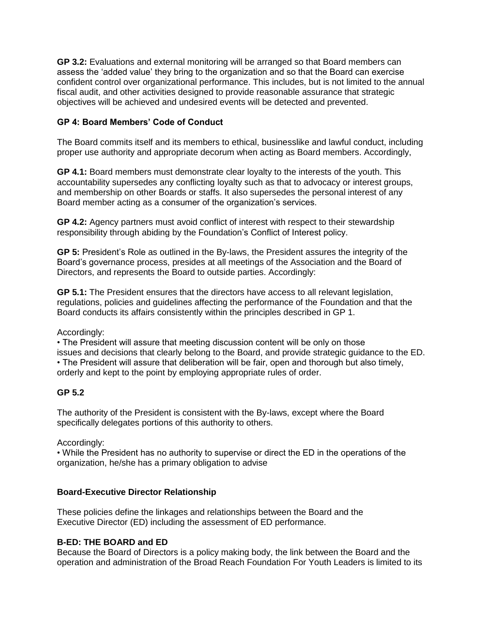**GP 3.2:** Evaluations and external monitoring will be arranged so that Board members can assess the 'added value' they bring to the organization and so that the Board can exercise confident control over organizational performance. This includes, but is not limited to the annual fiscal audit, and other activities designed to provide reasonable assurance that strategic objectives will be achieved and undesired events will be detected and prevented.

# **GP 4: Board Members' Code of Conduct**

The Board commits itself and its members to ethical, businesslike and lawful conduct, including proper use authority and appropriate decorum when acting as Board members. Accordingly,

**GP 4.1:** Board members must demonstrate clear loyalty to the interests of the youth. This accountability supersedes any conflicting loyalty such as that to advocacy or interest groups, and membership on other Boards or staffs. It also supersedes the personal interest of any Board member acting as a consumer of the organization's services.

**GP 4.2:** Agency partners must avoid conflict of interest with respect to their stewardship responsibility through abiding by the Foundation's Conflict of Interest policy.

**GP 5:** President's Role as outlined in the By-laws, the President assures the integrity of the Board's governance process, presides at all meetings of the Association and the Board of Directors, and represents the Board to outside parties. Accordingly:

**GP 5.1:** The President ensures that the directors have access to all relevant legislation, regulations, policies and guidelines affecting the performance of the Foundation and that the Board conducts its affairs consistently within the principles described in GP 1.

Accordingly:

• The President will assure that meeting discussion content will be only on those issues and decisions that clearly belong to the Board, and provide strategic guidance to the ED. • The President will assure that deliberation will be fair, open and thorough but also timely, orderly and kept to the point by employing appropriate rules of order.

## **GP 5.2**

The authority of the President is consistent with the By-laws, except where the Board specifically delegates portions of this authority to others.

Accordingly:

• While the President has no authority to supervise or direct the ED in the operations of the organization, he/she has a primary obligation to advise

## **Board-Executive Director Relationship**

These policies define the linkages and relationships between the Board and the Executive Director (ED) including the assessment of ED performance.

## **B-ED: THE BOARD and ED**

Because the Board of Directors is a policy making body, the link between the Board and the operation and administration of the Broad Reach Foundation For Youth Leaders is limited to its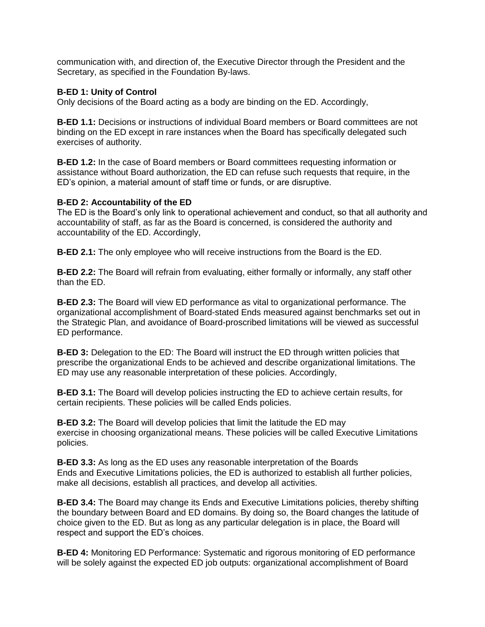communication with, and direction of, the Executive Director through the President and the Secretary, as specified in the Foundation By-laws.

#### **B-ED 1: Unity of Control**

Only decisions of the Board acting as a body are binding on the ED. Accordingly,

**B-ED 1.1:** Decisions or instructions of individual Board members or Board committees are not binding on the ED except in rare instances when the Board has specifically delegated such exercises of authority.

**B-ED 1.2:** In the case of Board members or Board committees requesting information or assistance without Board authorization, the ED can refuse such requests that require, in the ED's opinion, a material amount of staff time or funds, or are disruptive.

#### **B-ED 2: Accountability of the ED**

The ED is the Board's only link to operational achievement and conduct, so that all authority and accountability of staff, as far as the Board is concerned, is considered the authority and accountability of the ED. Accordingly,

**B-ED 2.1:** The only employee who will receive instructions from the Board is the ED.

**B-ED 2.2:** The Board will refrain from evaluating, either formally or informally, any staff other than the ED.

**B-ED 2.3:** The Board will view ED performance as vital to organizational performance. The organizational accomplishment of Board-stated Ends measured against benchmarks set out in the Strategic Plan, and avoidance of Board-proscribed limitations will be viewed as successful ED performance.

**B-ED 3:** Delegation to the ED: The Board will instruct the ED through written policies that prescribe the organizational Ends to be achieved and describe organizational limitations. The ED may use any reasonable interpretation of these policies. Accordingly,

**B-ED 3.1:** The Board will develop policies instructing the ED to achieve certain results, for certain recipients. These policies will be called Ends policies.

**B-ED 3.2:** The Board will develop policies that limit the latitude the ED may exercise in choosing organizational means. These policies will be called Executive Limitations policies.

**B-ED 3.3:** As long as the ED uses any reasonable interpretation of the Boards Ends and Executive Limitations policies, the ED is authorized to establish all further policies, make all decisions, establish all practices, and develop all activities.

**B-ED 3.4:** The Board may change its Ends and Executive Limitations policies, thereby shifting the boundary between Board and ED domains. By doing so, the Board changes the latitude of choice given to the ED. But as long as any particular delegation is in place, the Board will respect and support the ED's choices.

**B-ED 4:** Monitoring ED Performance: Systematic and rigorous monitoring of ED performance will be solely against the expected ED job outputs: organizational accomplishment of Board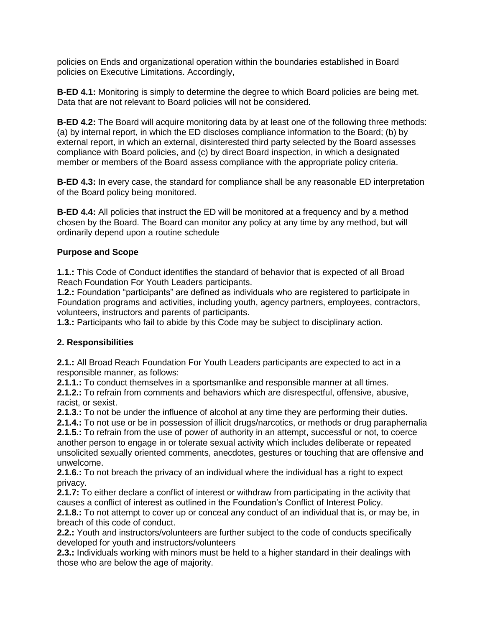policies on Ends and organizational operation within the boundaries established in Board policies on Executive Limitations. Accordingly,

**B-ED 4.1:** Monitoring is simply to determine the degree to which Board policies are being met. Data that are not relevant to Board policies will not be considered.

**B-ED 4.2:** The Board will acquire monitoring data by at least one of the following three methods: (a) by internal report, in which the ED discloses compliance information to the Board; (b) by external report, in which an external, disinterested third party selected by the Board assesses compliance with Board policies, and (c) by direct Board inspection, in which a designated member or members of the Board assess compliance with the appropriate policy criteria.

**B-ED 4.3:** In every case, the standard for compliance shall be any reasonable ED interpretation of the Board policy being monitored.

**B-ED 4.4:** All policies that instruct the ED will be monitored at a frequency and by a method chosen by the Board. The Board can monitor any policy at any time by any method, but will ordinarily depend upon a routine schedule

## **Purpose and Scope**

**1.1.:** This Code of Conduct identifies the standard of behavior that is expected of all Broad Reach Foundation For Youth Leaders participants.

**1.2.:** Foundation "participants" are defined as individuals who are registered to participate in Foundation programs and activities, including youth, agency partners, employees, contractors, volunteers, instructors and parents of participants.

**1.3.:** Participants who fail to abide by this Code may be subject to disciplinary action.

## **2. Responsibilities**

**2.1.:** All Broad Reach Foundation For Youth Leaders participants are expected to act in a responsible manner, as follows:

**2.1.1.:** To conduct themselves in a sportsmanlike and responsible manner at all times. **2.1.2.:** To refrain from comments and behaviors which are disrespectful, offensive, abusive, racist, or sexist.

**2.1.3.:** To not be under the influence of alcohol at any time they are performing their duties.

**2.1.4.:** To not use or be in possession of illicit drugs/narcotics, or methods or drug paraphernalia **2.1.5.:** To refrain from the use of power of authority in an attempt, successful or not, to coerce another person to engage in or tolerate sexual activity which includes deliberate or repeated unsolicited sexually oriented comments, anecdotes, gestures or touching that are offensive and unwelcome.

**2.1.6.:** To not breach the privacy of an individual where the individual has a right to expect privacy.

**2.1.7:** To either declare a conflict of interest or withdraw from participating in the activity that causes a conflict of interest as outlined in the Foundation's Conflict of Interest Policy.

**2.1.8.:** To not attempt to cover up or conceal any conduct of an individual that is, or may be, in breach of this code of conduct.

**2.2.:** Youth and instructors/volunteers are further subject to the code of conducts specifically developed for youth and instructors/volunteers

**2.3.:** Individuals working with minors must be held to a higher standard in their dealings with those who are below the age of majority.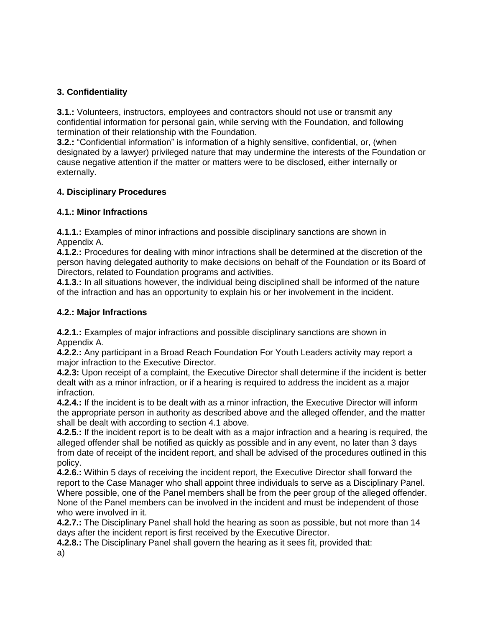# **3. Confidentiality**

**3.1.:** Volunteers, instructors, employees and contractors should not use or transmit any confidential information for personal gain, while serving with the Foundation, and following termination of their relationship with the Foundation.

**3.2.:** "Confidential information" is information of a highly sensitive, confidential, or, (when designated by a lawyer) privileged nature that may undermine the interests of the Foundation or cause negative attention if the matter or matters were to be disclosed, either internally or externally.

# **4. Disciplinary Procedures**

# **4.1.: Minor Infractions**

**4.1.1.:** Examples of minor infractions and possible disciplinary sanctions are shown in Appendix A.

**4.1.2.:** Procedures for dealing with minor infractions shall be determined at the discretion of the person having delegated authority to make decisions on behalf of the Foundation or its Board of Directors, related to Foundation programs and activities.

**4.1.3.:** In all situations however, the individual being disciplined shall be informed of the nature of the infraction and has an opportunity to explain his or her involvement in the incident.

# **4.2.: Major Infractions**

**4.2.1.:** Examples of major infractions and possible disciplinary sanctions are shown in Appendix A.

**4.2.2.:** Any participant in a Broad Reach Foundation For Youth Leaders activity may report a major infraction to the Executive Director.

**4.2.3:** Upon receipt of a complaint, the Executive Director shall determine if the incident is better dealt with as a minor infraction, or if a hearing is required to address the incident as a major infraction.

**4.2.4.:** If the incident is to be dealt with as a minor infraction, the Executive Director will inform the appropriate person in authority as described above and the alleged offender, and the matter shall be dealt with according to section 4.1 above.

**4.2.5.:** If the incident report is to be dealt with as a major infraction and a hearing is required, the alleged offender shall be notified as quickly as possible and in any event, no later than 3 days from date of receipt of the incident report, and shall be advised of the procedures outlined in this policy.

**4.2.6.:** Within 5 days of receiving the incident report, the Executive Director shall forward the report to the Case Manager who shall appoint three individuals to serve as a Disciplinary Panel. Where possible, one of the Panel members shall be from the peer group of the alleged offender. None of the Panel members can be involved in the incident and must be independent of those who were involved in it.

**4.2.7.:** The Disciplinary Panel shall hold the hearing as soon as possible, but not more than 14 days after the incident report is first received by the Executive Director.

**4.2.8.:** The Disciplinary Panel shall govern the hearing as it sees fit, provided that:

a)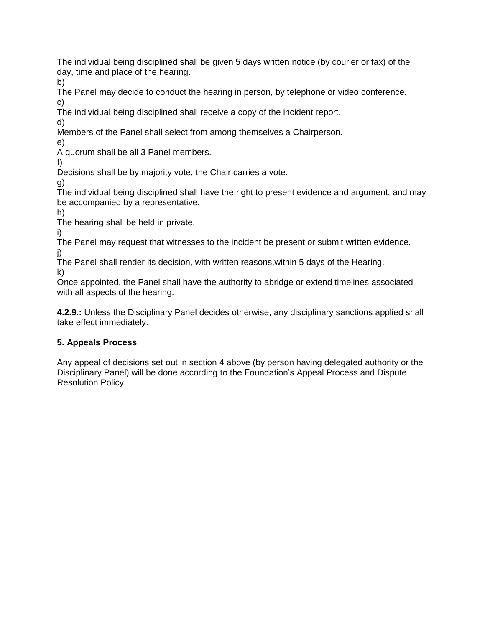The individual being disciplined shall be given 5 days written notice (by courier or fax) of the day, time and place of the hearing.

b)

The Panel may decide to conduct the hearing in person, by telephone or video conference. c)

The individual being disciplined shall receive a copy of the incident report.

d)

Members of the Panel shall select from among themselves a Chairperson.

e)

A quorum shall be all 3 Panel members.

f)

Decisions shall be by majority vote; the Chair carries a vote.

g)

The individual being disciplined shall have the right to present evidence and argument, and may be accompanied by a representative.

h)

The hearing shall be held in private.

i)

The Panel may request that witnesses to the incident be present or submit written evidence. j)

The Panel shall render its decision, with written reasons,within 5 days of the Hearing. k)

Once appointed, the Panel shall have the authority to abridge or extend timelines associated with all aspects of the hearing.

**4.2.9.:** Unless the Disciplinary Panel decides otherwise, any disciplinary sanctions applied shall take effect immediately.

# **5. Appeals Process**

Any appeal of decisions set out in section 4 above (by person having delegated authority or the Disciplinary Panel) will be done according to the Foundation's Appeal Process and Dispute Resolution Policy.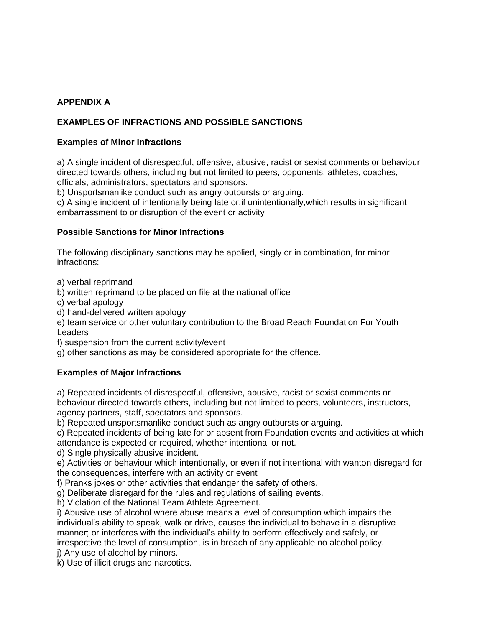# **APPENDIX A**

# **EXAMPLES OF INFRACTIONS AND POSSIBLE SANCTIONS**

# **Examples of Minor Infractions**

a) A single incident of disrespectful, offensive, abusive, racist or sexist comments or behaviour directed towards others, including but not limited to peers, opponents, athletes, coaches, officials, administrators, spectators and sponsors.

b) Unsportsmanlike conduct such as angry outbursts or arguing.

c) A single incident of intentionally being late or,if unintentionally,which results in significant embarrassment to or disruption of the event or activity

## **Possible Sanctions for Minor Infractions**

The following disciplinary sanctions may be applied, singly or in combination, for minor infractions:

a) verbal reprimand

b) written reprimand to be placed on file at the national office

c) verbal apology

d) hand-delivered written apology

e) team service or other voluntary contribution to the Broad Reach Foundation For Youth Leaders

f) suspension from the current activity/event

g) other sanctions as may be considered appropriate for the offence.

## **Examples of Major Infractions**

a) Repeated incidents of disrespectful, offensive, abusive, racist or sexist comments or behaviour directed towards others, including but not limited to peers, volunteers, instructors, agency partners, staff, spectators and sponsors.

b) Repeated unsportsmanlike conduct such as angry outbursts or arguing.

c) Repeated incidents of being late for or absent from Foundation events and activities at which attendance is expected or required, whether intentional or not.

d) Single physically abusive incident.

e) Activities or behaviour which intentionally, or even if not intentional with wanton disregard for the consequences, interfere with an activity or event

f) Pranks jokes or other activities that endanger the safety of others.

g) Deliberate disregard for the rules and regulations of sailing events.

h) Violation of the National Team Athlete Agreement.

i) Abusive use of alcohol where abuse means a level of consumption which impairs the individual's ability to speak, walk or drive, causes the individual to behave in a disruptive manner; or interferes with the individual's ability to perform effectively and safely, or irrespective the level of consumption, is in breach of any applicable no alcohol policy.

j) Any use of alcohol by minors.

k) Use of illicit drugs and narcotics.